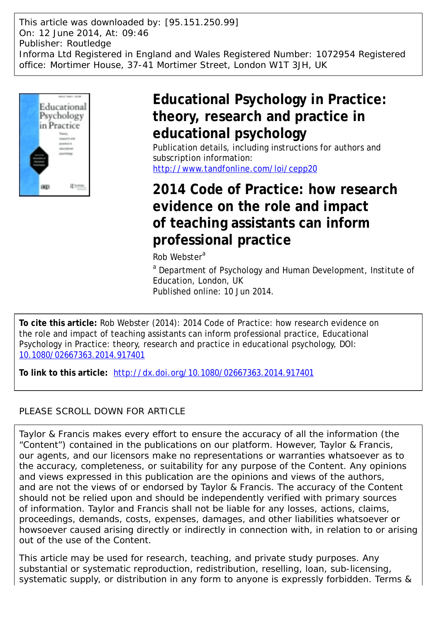This article was downloaded by: [95.151.250.99] On: 12 June 2014, At: 09:46 Publisher: Routledge Informa Ltd Registered in England and Wales Registered Number: 1072954 Registered office: Mortimer House, 37-41 Mortimer Street, London W1T 3JH, UK



# **Educational Psychology in Practice: theory, research and practice in educational psychology**

Publication details, including instructions for authors and subscription information: <http://www.tandfonline.com/loi/cepp20>

## **2014 Code of Practice: how research evidence on the role and impact of teaching assistants can inform professional practice**

Rob Webster<sup>a</sup>

<sup>a</sup> Department of Psychology and Human Development, Institute of Education, London, UK Published online: 10 Jun 2014.

**To cite this article:** Rob Webster (2014): 2014 Code of Practice: how research evidence on the role and impact of teaching assistants can inform professional practice, Educational Psychology in Practice: theory, research and practice in educational psychology, DOI: [10.1080/02667363.2014.917401](http://www.tandfonline.com/action/showCitFormats?doi=10.1080/02667363.2014.917401)

**To link to this article:** <http://dx.doi.org/10.1080/02667363.2014.917401>

## PLEASE SCROLL DOWN FOR ARTICLE

Taylor & Francis makes every effort to ensure the accuracy of all the information (the "Content") contained in the publications on our platform. However, Taylor & Francis, our agents, and our licensors make no representations or warranties whatsoever as to the accuracy, completeness, or suitability for any purpose of the Content. Any opinions and views expressed in this publication are the opinions and views of the authors, and are not the views of or endorsed by Taylor & Francis. The accuracy of the Content should not be relied upon and should be independently verified with primary sources of information. Taylor and Francis shall not be liable for any losses, actions, claims, proceedings, demands, costs, expenses, damages, and other liabilities whatsoever or howsoever caused arising directly or indirectly in connection with, in relation to or arising out of the use of the Content.

This article may be used for research, teaching, and private study purposes. Any substantial or systematic reproduction, redistribution, reselling, loan, sub-licensing, systematic supply, or distribution in any form to anyone is expressly forbidden. Terms &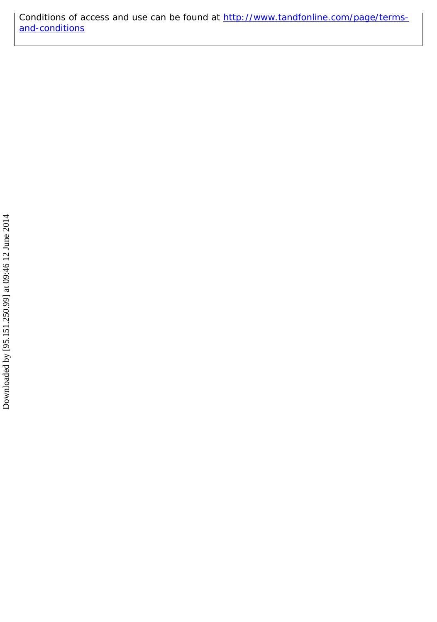Conditions of access and use can be found at [http://www.tandfonline.com/page/terms](http://www.tandfonline.com/page/terms-and-conditions)[and-conditions](http://www.tandfonline.com/page/terms-and-conditions)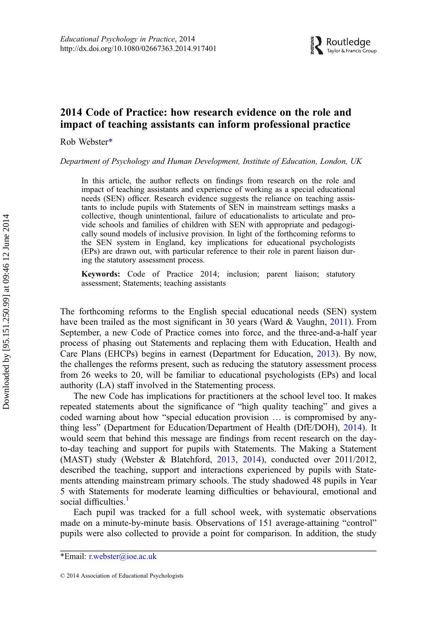### 2014 Code of Practice: how research evidence on the role and impact of teaching assistants can inform professional practice

Rob Webster\*

Department of Psychology and Human Development, Institute of Education, London, UK

In this article, the author reflects on findings from research on the role and impact of teaching assistants and experience of working as a special educational needs (SEN) officer. Research evidence suggests the reliance on teaching assistants to include pupils with Statements of SEN in mainstream settings masks a collective, though unintentional, failure of educationalists to articulate and provide schools and families of children with SEN with appropriate and pedagogically sound models of inclusive provision. In light of the forthcoming reforms to the SEN system in England, key implications for educational psychologists (EPs) are drawn out, with particular reference to their role in parent liaison during the statutory assessment process.

Keywords: Code of Practice 2014; inclusion; parent liaison; statutory assessment; Statements; teaching assistants

The forthcoming reforms to the English special educational needs (SEN) system have been trailed as the most significant in 30 years (Ward & Vaughn, [2011](#page-6-0)). From September, a new Code of Practice comes into force, and the three-and-a-half year process of phasing out Statements and replacing them with Education, Health and Care Plans (EHCPs) begins in earnest (Department for Education, [2013\)](#page-6-0). By now, the challenges the reforms present, such as reducing the statutory assessment process from 26 weeks to 20, will be familiar to educational psychologists (EPs) and local authority (LA) staff involved in the Statementing process.

The new Code has implications for practitioners at the school level too. It makes repeated statements about the significance of "high quality teaching" and gives a coded warning about how "special education provision … is compromised by anything less" (Department for Education/Department of Health (DfE/DOH), [2014\)](#page-6-0). It would seem that behind this message are findings from recent research on the dayto-day teaching and support for pupils with Statements. The Making a Statement (MAST) study (Webster & Blatchford, [2013](#page-6-0), [2014\)](#page-6-0), conducted over 2011/2012, described the teaching, support and interactions experienced by pupils with Statements attending mainstream primary schools. The study shadowed 48 pupils in Year 5 with Statements for moderate learning difficulties or behavioural, emotional and social difficulties.<sup>[1](#page-6-0)</sup>

Each pupil was tracked for a full school week, with systematic observations made on a minute-by-minute basis. Observations of 151 average-attaining "control" pupils were also collected to provide a point for comparison. In addition, the study

<sup>\*</sup>Email: [r.webster@ioe.ac.uk](mailto:r.webster@ioe.ac.uk)

<sup>© 2014</sup> Association of Educational Psychologists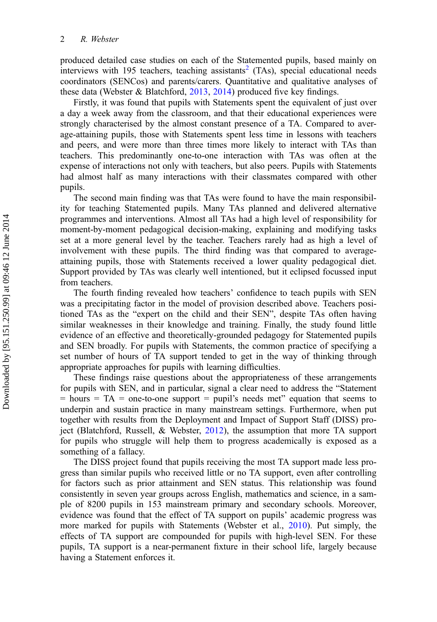produced detailed case studies on each of the Statemented pupils, based mainly on interviews with 195 teachers, teaching assistants<sup>[2](#page-6-0)</sup> (TAs), special educational needs coordinators (SENCos) and parents/carers. Quantitative and qualitative analyses of these data (Webster & Blatchford, [2013,](#page-6-0) [2014\)](#page-6-0) produced five key findings.

Firstly, it was found that pupils with Statements spent the equivalent of just over a day a week away from the classroom, and that their educational experiences were strongly characterised by the almost constant presence of a TA. Compared to average-attaining pupils, those with Statements spent less time in lessons with teachers and peers, and were more than three times more likely to interact with TAs than teachers. This predominantly one-to-one interaction with TAs was often at the expense of interactions not only with teachers, but also peers. Pupils with Statements had almost half as many interactions with their classmates compared with other pupils.

The second main finding was that TAs were found to have the main responsibility for teaching Statemented pupils. Many TAs planned and delivered alternative programmes and interventions. Almost all TAs had a high level of responsibility for moment-by-moment pedagogical decision-making, explaining and modifying tasks set at a more general level by the teacher. Teachers rarely had as high a level of involvement with these pupils. The third finding was that compared to averageattaining pupils, those with Statements received a lower quality pedagogical diet. Support provided by TAs was clearly well intentioned, but it eclipsed focussed input from teachers.

The fourth finding revealed how teachers' confidence to teach pupils with SEN was a precipitating factor in the model of provision described above. Teachers positioned TAs as the "expert on the child and their SEN", despite TAs often having similar weaknesses in their knowledge and training. Finally, the study found little evidence of an effective and theoretically-grounded pedagogy for Statemented pupils and SEN broadly. For pupils with Statements, the common practice of specifying a set number of hours of TA support tended to get in the way of thinking through appropriate approaches for pupils with learning difficulties.

These findings raise questions about the appropriateness of these arrangements for pupils with SEN, and in particular, signal a clear need to address the "Statement  $=$  hours  $=$  TA  $=$  one-to-one support  $=$  pupil's needs met" equation that seems to underpin and sustain practice in many mainstream settings. Furthermore, when put together with results from the Deployment and Impact of Support Staff (DISS) project (Blatchford, Russell, & Webster, [2012\)](#page-6-0), the assumption that more TA support for pupils who struggle will help them to progress academically is exposed as a something of a fallacy.

The DISS project found that pupils receiving the most TA support made less progress than similar pupils who received little or no TA support, even after controlling for factors such as prior attainment and SEN status. This relationship was found consistently in seven year groups across English, mathematics and science, in a sample of 8200 pupils in 153 mainstream primary and secondary schools. Moreover, evidence was found that the effect of TA support on pupils' academic progress was more marked for pupils with Statements (Webster et al., [2010\)](#page-7-0). Put simply, the effects of TA support are compounded for pupils with high-level SEN. For these pupils, TA support is a near-permanent fixture in their school life, largely because having a Statement enforces it.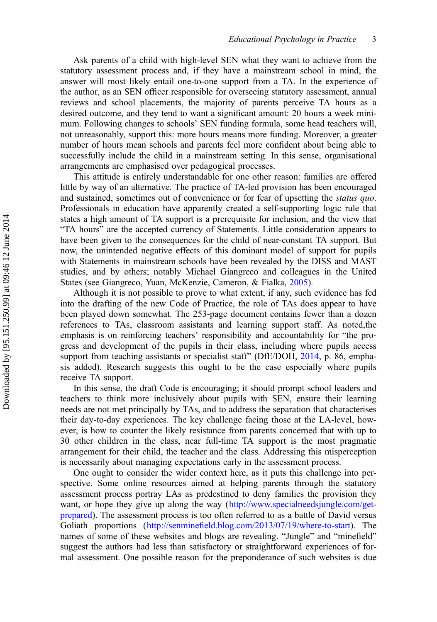Ask parents of a child with high-level SEN what they want to achieve from the statutory assessment process and, if they have a mainstream school in mind, the answer will most likely entail one-to-one support from a TA. In the experience of the author, as an SEN officer responsible for overseeing statutory assessment, annual reviews and school placements, the majority of parents perceive TA hours as a desired outcome, and they tend to want a significant amount: 20 hours a week minimum. Following changes to schools' SEN funding formula, some head teachers will, not unreasonably, support this: more hours means more funding. Moreover, a greater number of hours mean schools and parents feel more confident about being able to successfully include the child in a mainstream setting. In this sense, organisational arrangements are emphasised over pedagogical processes.

This attitude is entirely understandable for one other reason: families are offered little by way of an alternative. The practice of TA-led provision has been encouraged and sustained, sometimes out of convenience or for fear of upsetting the status quo. Professionals in education have apparently created a self-supporting logic rule that states a high amount of TA support is a prerequisite for inclusion, and the view that "TA hours" are the accepted currency of Statements. Little consideration appears to have been given to the consequences for the child of near-constant TA support. But now, the unintended negative effects of this dominant model of support for pupils with Statements in mainstream schools have been revealed by the DISS and MAST studies, and by others; notably Michael Giangreco and colleagues in the United States (see Giangreco, Yuan, McKenzie, Cameron, & Fialka, [2005\)](#page-6-0).

Although it is not possible to prove to what extent, if any, such evidence has fed into the drafting of the new Code of Practice, the role of TAs does appear to have been played down somewhat. The 253-page document contains fewer than a dozen references to TAs, classroom assistants and learning support staff. As noted,the emphasis is on reinforcing teachers' responsibility and accountability for "the progress and development of the pupils in their class, including where pupils access support from teaching assistants or specialist staff" (DfE/DOH, [2014](#page-6-0), p. 86, emphasis added). Research suggests this ought to be the case especially where pupils receive TA support.

In this sense, the draft Code is encouraging; it should prompt school leaders and teachers to think more inclusively about pupils with SEN, ensure their learning needs are not met principally by TAs, and to address the separation that characterises their day-to-day experiences. The key challenge facing those at the LA-level, however, is how to counter the likely resistance from parents concerned that with up to 30 other children in the class, near full-time TA support is the most pragmatic arrangement for their child, the teacher and the class. Addressing this misperception is necessarily about managing expectations early in the assessment process.

One ought to consider the wider context here, as it puts this challenge into perspective. Some online resources aimed at helping parents through the statutory assessment process portray LAs as predestined to deny families the provision they want, or hope they give up along the way ([http://www.specialneedsjungle.com/get](http://www.specialneedsjungle.com/get-prepared)[prepared](http://www.specialneedsjungle.com/get-prepared)). The assessment process is too often referred to as a battle of David versus Goliath proportions (http://senminefi[eld.blog.com/2013/07/19/where-to-start\)](http://senminefield.blog.com/2013/07/19/where-to-start). The names of some of these websites and blogs are revealing. "Jungle" and "minefield" suggest the authors had less than satisfactory or straightforward experiences of formal assessment. One possible reason for the preponderance of such websites is due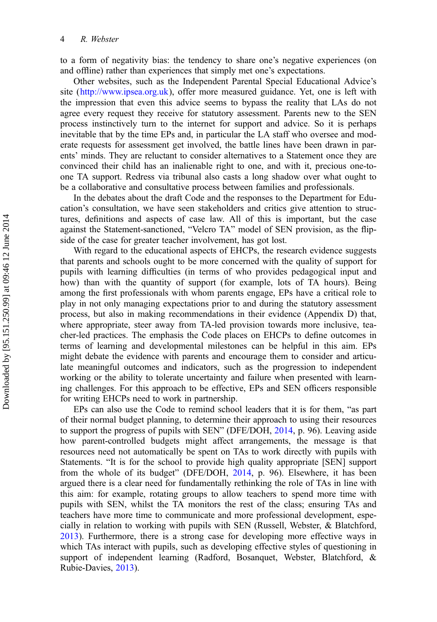to a form of negativity bias: the tendency to share one's negative experiences (on and offline) rather than experiences that simply met one's expectations.

Other websites, such as the Independent Parental Special Educational Advice's site (<http://www.ipsea.org.uk>), offer more measured guidance. Yet, one is left with the impression that even this advice seems to bypass the reality that LAs do not agree every request they receive for statutory assessment. Parents new to the SEN process instinctively turn to the internet for support and advice. So it is perhaps inevitable that by the time EPs and, in particular the LA staff who oversee and moderate requests for assessment get involved, the battle lines have been drawn in parents' minds. They are reluctant to consider alternatives to a Statement once they are convinced their child has an inalienable right to one, and with it, precious one-toone TA support. Redress via tribunal also casts a long shadow over what ought to be a collaborative and consultative process between families and professionals.

In the debates about the draft Code and the responses to the Department for Education's consultation, we have seen stakeholders and critics give attention to structures, definitions and aspects of case law. All of this is important, but the case against the Statement-sanctioned, "Velcro TA" model of SEN provision, as the flipside of the case for greater teacher involvement, has got lost.

With regard to the educational aspects of EHCPs, the research evidence suggests that parents and schools ought to be more concerned with the quality of support for pupils with learning difficulties (in terms of who provides pedagogical input and how) than with the quantity of support (for example, lots of TA hours). Being among the first professionals with whom parents engage, EPs have a critical role to play in not only managing expectations prior to and during the statutory assessment process, but also in making recommendations in their evidence (Appendix D) that, where appropriate, steer away from TA-led provision towards more inclusive, teacher-led practices. The emphasis the Code places on EHCPs to define outcomes in terms of learning and developmental milestones can be helpful in this aim. EPs might debate the evidence with parents and encourage them to consider and articulate meaningful outcomes and indicators, such as the progression to independent working or the ability to tolerate uncertainty and failure when presented with learning challenges. For this approach to be effective, EPs and SEN officers responsible for writing EHCPs need to work in partnership.

EPs can also use the Code to remind school leaders that it is for them, "as part of their normal budget planning, to determine their approach to using their resources to support the progress of pupils with SEN" (DFE/DOH, [2014,](#page-6-0) p. 96). Leaving aside how parent-controlled budgets might affect arrangements, the message is that resources need not automatically be spent on TAs to work directly with pupils with Statements. "It is for the school to provide high quality appropriate [SEN] support from the whole of its budget" (DFE/DOH, [2014,](#page-6-0) p. 96). Elsewhere, it has been argued there is a clear need for fundamentally rethinking the role of TAs in line with this aim: for example, rotating groups to allow teachers to spend more time with pupils with SEN, whilst the TA monitors the rest of the class; ensuring TAs and teachers have more time to communicate and more professional development, especially in relation to working with pupils with SEN (Russell, Webster, & Blatchford, [2013\)](#page-6-0). Furthermore, there is a strong case for developing more effective ways in which TAs interact with pupils, such as developing effective styles of questioning in support of independent learning (Radford, Bosanquet, Webster, Blatchford, & Rubie-Davies, [2013\)](#page-6-0).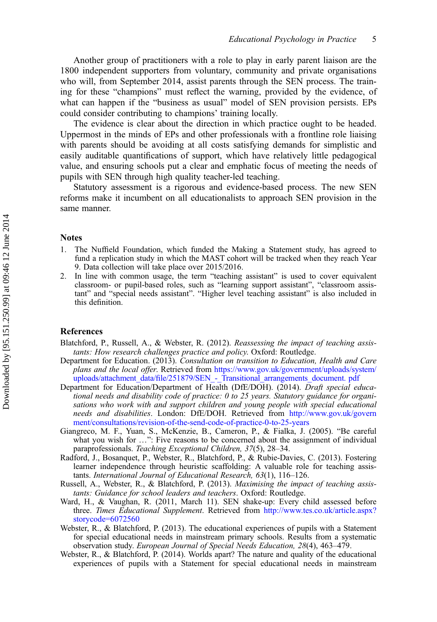<span id="page-6-0"></span>Another group of practitioners with a role to play in early parent liaison are the 1800 independent supporters from voluntary, community and private organisations who will, from September 2014, assist parents through the SEN process. The training for these "champions" must reflect the warning, provided by the evidence, of what can happen if the "business as usual" model of SEN provision persists. EPs could consider contributing to champions' training locally.

The evidence is clear about the direction in which practice ought to be headed. Uppermost in the minds of EPs and other professionals with a frontline role liaising with parents should be avoiding at all costs satisfying demands for simplistic and easily auditable quantifications of support, which have relatively little pedagogical value, and ensuring schools put a clear and emphatic focus of meeting the needs of pupils with SEN through high quality teacher-led teaching.

Statutory assessment is a rigorous and evidence-based process. The new SEN reforms make it incumbent on all educationalists to approach SEN provision in the same manner.

#### Notes

- 1. The Nuffield Foundation, which funded the Making a Statement study, has agreed to fund a replication study in which the MAST cohort will be tracked when they reach Year 9. Data collection will take place over 2015/2016.
- 2. In line with common usage, the term "teaching assistant" is used to cover equivalent classroom- or pupil-based roles, such as "learning support assistant", "classroom assistant" and "special needs assistant". "Higher level teaching assistant" is also included in this definition.

#### References

- Blatchford, P., Russell, A., & Webster, R. (2012). Reassessing the impact of teaching assistants: How research challenges practice and policy. Oxford: Routledge.
- Department for Education. (2013). Consultation on transition to Education, Health and Care plans and the local offer. Retrieved from [https://www.gov.uk/government/uploads/system/](http://https://www.gov.uk/government/uploads/system/uploads/attachment_data/file/251879/SEN_-_Transitional_arrangements_document.pdf) uploads/attachment\_data/fi[le/251879/SEN\\_-\\_Transitional\\_arrangements\\_document. pdf](http://https://www.gov.uk/government/uploads/system/uploads/attachment_data/file/251879/SEN_-_Transitional_arrangements_document.pdf)
- Department for Education/Department of Health (DfE/DOH). (2014). Draft special educational needs and disability code of practice: 0 to 25 years. Statutory guidance for organisations who work with and support children and young people with special educational needs and disabilities. London: DfE/DOH. Retrieved from [http://www.gov.uk/govern](http://www.gov.uk/government/consultations/revision-of-the-send-code-of-practice-0-to-25-years) [ment/consultations/revision-of-the-send-code-of-practice-0-to-25-years](http://www.gov.uk/government/consultations/revision-of-the-send-code-of-practice-0-to-25-years)
- Giangreco, M. F., Yuan, S., McKenzie, B., Cameron, P., & Fialka, J. (2005). "Be careful what you wish for ...": Five reasons to be concerned about the assignment of individual paraprofessionals. Teaching Exceptional Children, 37(5), 28–34.
- Radford, J., Bosanquet, P., Webster, R., Blatchford, P., & Rubie-Davies, C. (2013). Fostering learner independence through heuristic scaffolding: A valuable role for teaching assistants. International Journal of Educational Research, 63(1), 116–126.
- Russell, A., Webster, R., & Blatchford, P. (2013). Maximising the impact of teaching assistants: Guidance for school leaders and teachers. Oxford: Routledge.
- Ward, H., & Vaughan, R. (2011, March 11). SEN shake-up: Every child assessed before three. Times Educational Supplement. Retrieved from [http://www.tes.co.uk/article.aspx?](http://www.tes.co.uk/article.aspx?storycode=6072560) [storycode=6072560](http://www.tes.co.uk/article.aspx?storycode=6072560)
- Webster, R., & Blatchford, P. (2013). The educational experiences of pupils with a Statement for special educational needs in mainstream primary schools. Results from a systematic observation study. European Journal of Special Needs Education, 28(4), 463–479.
- Webster, R., & Blatchford, P. (2014). Worlds apart? The nature and quality of the educational experiences of pupils with a Statement for special educational needs in mainstream